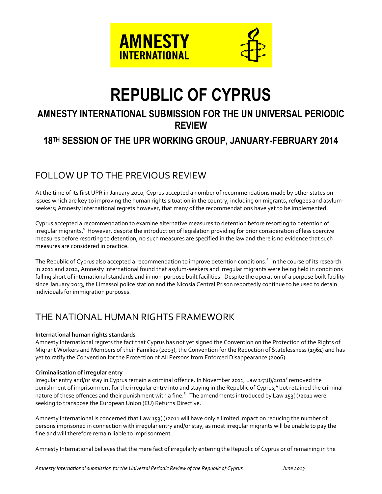

# **REPUBLIC OF CYPRUS**

# **AMNESTY INTERNATIONAL SUBMISSION FOR THE UN UNIVERSAL PERIODIC REVIEW**

# **18 TH SESSION OF THE UPR WORKING GROUP, JANUARY-FEBRUARY 2014**

# FOLLOW UP TO THE PREVIOUS REVIEW

At the time of its first UPR in January 2010, Cyprus accepted a number of recommendations made by other states on issues which are key to improving the human rights situation in the country, including on migrants, refugees and asylumseekers; Amnesty International regrets however, that many of the recommendations have yet to be implemented.

Cyprus accepted a recommendation to examine alternative measures to detention before resorting to detention of irregular migrants. $^1$  However, despite the introduction of legislation providing for prior consideration of less coercive measures before resorting to detention, no such measures are specified in the law and there is no evidence that such measures are considered in practice.

The Republic of Cyprus also accepted a recommendation to improve detention conditions.<sup>2</sup> In the course of its research in 2011 and 2012, Amnesty International found that asylum-seekers and irregular migrants were being held in conditions falling short of international standards and in non-purpose built facilities. Despite the operation of a purpose built facility since January 2013, the Limassol police station and the Nicosia Central Prison reportedly continue to be used to detain individuals for immigration purposes.

# THE NATIONAL HUMAN RIGHTS FRAMEWORK

## **International human rights standards**

Amnesty International regrets the fact that Cyprus has not yet signed the Convention on the Protection of the Rights of Migrant Workers and Members of their Families (2003), the Convention for the Reduction of Statelessness (1961) and has yet to ratify the Convention for the Protection of All Persons from Enforced Disappearance (2006).

### **Criminalisation of irregular entry**

Irregular entry and/or stay in Cyprus remain a criminal offence. In November 2011, Law 153(I)/2011<sup>3</sup> removed the punishment of imprisonment for the irregular entry into and staying in the Republic of Cyprus,<sup>4</sup> but retained the criminal nature of these offences and their punishment with a fine.<sup>5</sup> The amendments introduced by Law 153(I)/2011 were seeking to transpose the European Union (EU) Returns Directive.

Amnesty International is concerned that Law 153(I)/2011 will have only a limited impact on reducing the number of persons imprisoned in connection with irregular entry and/or stay, as most irregular migrants will be unable to pay the fine and will therefore remain liable to imprisonment.

Amnesty International believes that the mere fact of irregularly entering the Republic of Cyprus or of remaining in the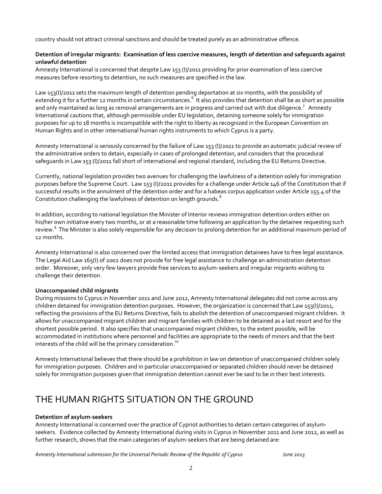country should not attract criminal sanctions and should be treated purely as an administrative offence.

#### **Detention of irregular migrants: Examination of less coercive measures, length of detention and safeguards against unlawful detention**

Amnesty International is concerned that despite Law 153 (I)/2011 providing for prior examination of less coercive measures before resorting to detention, no such measures are specified in the law.

Law 153(I)/2011 sets the maximum length of detention pending deportation at six months, with the possibility of extending it for a further 12 months in certain circumstances.<sup>6</sup> It also provides that detention shall be as short as possible and only maintained as long as removal arrangements are in progress and carried out with due diligence.<sup>7</sup> Amnesty International cautions that, although permissible under EU legislation, detaining someone solely for immigration purposes for up to 18 months is incompatible with the right to liberty as recognized in the European Convention on Human Rights and in other international human rights instruments to which Cyprus is a party.

Amnesty International is seriously concerned by the failure of Law 153 (I)/2011 to provide an automatic judicial review of the administrative orders to detain, especially in cases of prolonged detention, and considers that the procedural safeguards in Law 153 (I)/2011 fall short of international and regional standard, including the EU Returns Directive.

Currently, national legislation provides two avenues for challenging the lawfulness of a detention solely for immigration purposes before the Supreme Court. Law 153 (I)/2011 provides for a challenge under Article 146 of the Constitution that if successful results in the annulment of the detention order and for a habeas corpus application under Article 155.4 of the Constitution challenging the lawfulness of detention on length grounds.<sup>8</sup>

In addition, according to national legislation the Minister of Interior reviews immigration detention orders either on his/her own initiative every two months, or at a reasonable time following an application by the detainee requesting such review.<sup>9</sup> The Minister is also solely responsible for any decision to prolong detention for an additional maximum period of 12 months.

Amnesty International is also concerned over the limited access that immigration detainees have to free legal assistance. The Legal Aid Law 165(I) of 2002 does not provide for free legal assistance to challenge an administration detention order. Moreover, only very few lawyers provide free services to asylum-seekers and irregular migrants wishing to challenge their detention.

### **Unaccompanied child migrants**

During missions to Cyprus in November 2011 and June 2012, Amnesty International delegates did not come across any children detained for immigration detention purposes. However, the organization is concerned that Law 153(I)/2011, reflecting the provisions of the EU Returns Directive, fails to abolish the detention of unaccompanied migrant children. It allows for unaccompanied migrant children and migrant families with children to be detained as a last resort and for the shortest possible period. It also specifies that unaccompanied migrant children, to the extent possible, will be accommodated in institutions where personnel and facilities are appropriate to the needs of minors and that the best interests of the child will be the primary consideration.<sup>10</sup>

Amnesty International believes that there should be a prohibition in law on detention of unaccompanied children solely for immigration purposes. Children and in particular unaccompanied or separated children should never be detained solely for immigration purposes given that immigration detention cannot ever be said to be in their best interests.

# THE HUMAN RIGHTS SITUATION ON THE GROUND

### **Detention of asylum-seekers**

Amnesty International is concerned over the practice of Cypriot authorities to detain certain categories of asylumseekers. Evidence collected by Amnesty International during visits in Cyprus in November 2011 and June 2012, as well as further research, shows that the main categories of asylum-seekers that are being detained are:

*Amnesty International submission for the Universal Periodic Review of the Republic of Cyprus June 2013*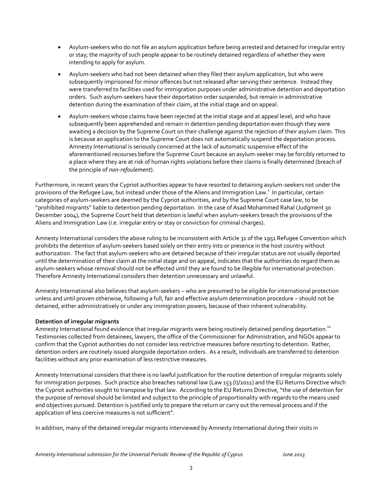- Asylum-seekers who do not file an asylum application before being arrested and detained for irregular entry or stay; the majority of such people appear to be routinely detained regardless of whether they were intending to apply for asylum.
- Asylum-seekers who had not been detained when they filed their asylum application, but who were subsequently imprisoned for minor offences but not released after serving their sentence. Instead they were transferred to facilities used for immigration purposes under administrative detention and deportation orders. Such asylum-seekers have their deportation order suspended, but remain in administrative detention during the examination of their claim, at the initial stage and on appeal.
- Asylum-seekers whose claims have been rejected at the initial stage and at appeal level, and who have subsequently been apprehended and remain in detention pending deportation even though they were awaiting a decision by the Supreme Court on their challenge against the rejection of their asylum claim. This is because an application to the Supreme Court does not automatically suspend the deportation process. Amnesty International is seriously concerned at the lack of automatic suspensive effect of the aforementioned recourses before the Supreme Court because an asylum-seeker may be forcibly returned to a place where they are at risk of human rights violations before their claims is finally determined (breach of the principle of *non-refoulement*).

Furthermore, in recent years the Cypriot authorities appear to have resorted to detaining asylum-seekers not under the provisions of the Refugee Law, but instead under those of the Aliens and Immigration Law.<sup>1</sup> In particular, certain categories of asylum-seekers are deemed by the Cypriot authorities, and by the Supreme Court case law, to be "prohibited migrants" liable to detention pending deportation. In the case of Asad Mohammed Rahal (Judgment 30 December 2004), the Supreme Court held that detention is lawful when asylum-seekers breach the provisions of the Aliens and Immigration Law (i.e. irregular entry or stay or conviction for criminal charges).

Amnesty International considers the above ruling to be inconsistent with Article 31 of the 1951 Refugee Convention which prohibits the detention of asylum-seekers based solely on their entry into or presence in the host country without authorization. The fact that asylum-seekers who are detained because of their irregular status are not usually deported until the determination of their claim at the initial stage and on appeal, indicates that the authorities do regard them as asylum-seekers whose removal should not be effected until they are found to be illegible for international protection. Therefore Amnesty International considers their detention unnecessary and unlawful.

Amnesty International also believes that asylum-seekers – who are presumed to be eligible for international protection unless and until proven otherwise, following a full, fair and effective asylum determination procedure - should not be detained, either administratively or under any immigration powers, because of their inherent vulnerability.

### **Detention of irregular migrants**

Amnesty International found evidence that irregular migrants were being routinely detained pending deportation.<sup>11</sup> Testimonies collected from detainees, lawyers, the office of the Commissioner for Administration, and NGOs appear to confirm that the Cypriot authorities do not consider less restrictive measures before resorting to detention. Rather, detention orders are routinely issued alongside deportation orders. As a result, individuals are transferred to detention facilities without any prior examination of less restrictive measures.

Amnesty International considers that there is no lawful justification for the routine detention of irregular migrants solely for immigration purposes. Such practice also breaches national law (Law 153 (I)/2011) and the EU Returns Directive which the Cypriot authorities sought to transpose by that law. According to the EU Returns Directive, "the use of detention for the purpose of removal should be limited and subject to the principle of proportionality with regards to the means used and objectives pursued. Detention is justified only to prepare the return or carry out the removal process and if the application of less coercive measures is not sufficient".

In addition, many of the detained irregular migrants interviewed by Amnesty International during their visits in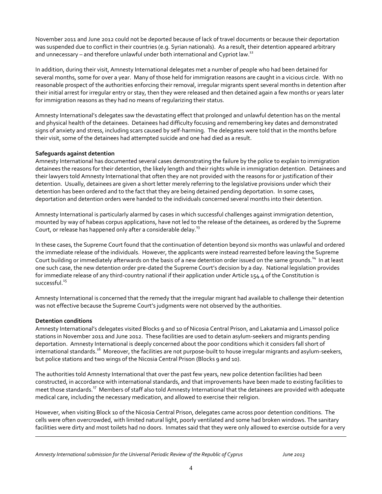November 2011 and June 2012 could not be deported because of lack of travel documents or because their deportation was suspended due to conflict in their countries (e.g. Syrian nationals). As a result, their detention appeared arbitrary and unnecessary – and therefore unlawful under both international and Cypriot law.<sup>12</sup>

In addition, during their visit, Amnesty International delegates met a number of people who had been detained for several months, some for over a year. Many of those held for immigration reasons are caught in a vicious circle. With no reasonable prospect of the authorities enforcing their removal, irregular migrants spent several months in detention after their initial arrest for irregular entry or stay, then they were released and then detained again a few months or years later for immigration reasons as they had no means of regularizing their status.

Amnesty International's delegates saw the devastating effect that prolonged and unlawful detention has on the mental and physical health of the detainees. Detainees had difficulty focusing and remembering key dates and demonstrated signs of anxiety and stress, including scars caused by self-harming. The delegates were told that in the months before their visit, some of the detainees had attempted suicide and one had died as a result.

### **Safeguards against detention**

Amnesty International has documented several cases demonstrating the failure by the police to explain to immigration detainees the reasons for their detention, the likely length and their rights while in immigration detention. Detainees and their lawyers told Amnesty International that often they are not provided with the reasons for or justification of their detention. Usually, detainees are given a short letter merely referring to the legislative provisions under which their detention has been ordered and to the fact that they are being detained pending deportation. In some cases, deportation and detention orders were handed to the individuals concerned several months into their detention.

Amnesty International is particularly alarmed by cases in which successful challenges against immigration detention, mounted by way of habeas corpus applications, have not led to the release of the detainees, as ordered by the Supreme Court, or release has happened only after a considerable delay. $^{13}$ 

In these cases, the Supreme Court found that the continuation of detention beyond six months was unlawful and ordered the immediate release of the individuals. However, the applicants were instead rearrested before leaving the Supreme Court building or immediately afterwards on the basis of a new detention order issued on the same grounds.<sup>14</sup> In at least one such case, the new detention order pre-dated the Supreme Court's decision by a day. National legislation provides for immediate release of any third-country national if their application under Article 154.4 of the Constitution is successful.<sup>15</sup>

Amnesty International is concerned that the remedy that the irregular migrant had available to challenge their detention was not effective because the Supreme Court's judgments were not observed by the authorities.

#### **Detention conditions**

 $\overline{a}$ 

Amnesty International's delegates visited Blocks 9 and 10 of Nicosia Central Prison, and Lakatamia and Limassol police stations in November 2011 and June 2012. These facilities are used to detain asylum-seekers and migrants pending deportation. Amnesty International is deeply concerned about the poor conditions which it considers fall short of international standards.<sup>16</sup> Moreover, the facilities are not purpose-built to house irregular migrants and asylum-seekers, but police stations and two wings of the Nicosia Central Prison (Blocks 9 and 10).

The authorities told Amnesty International that over the past few years, new police detention facilities had been constructed, in accordance with international standards, and that improvements have been made to existing facilities to meet those standards.<sup>17</sup> Members of staff also told Amnesty International that the detainees are provided with adequate medical care, including the necessary medication, and allowed to exercise their religion.

However, when visiting Block 10 of the Nicosia Central Prison, delegates came across poor detention conditions. The cells were often overcrowded, with limited natural light, poorly ventilated and some had broken windows. The sanitary facilities were dirty and most toilets had no doors. Inmates said that they were only allowed to exercise outside for a very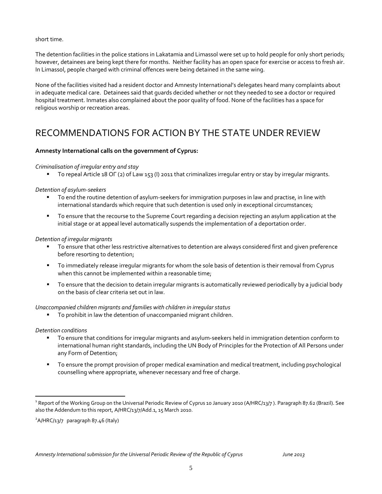short time.

The detention facilities in the police stations in Lakatamia and Limassol were set up to hold people for only short periods; however, detainees are being kept there for months. Neither facility has an open space for exercise or access to fresh air. In Limassol, people charged with criminal offences were being detained in the same wing.

None of the facilities visited had a resident doctor and Amnesty International's delegates heard many complaints about in adequate medical care. Detainees said that guards decided whether or not they needed to see a doctor or required hospital treatment. Inmates also complained about the poor quality of food. None of the facilities has a space for religious worship or recreation areas.

# RECOMMENDATIONS FOR ACTION BY THE STATE UNDER REVIEW

### **Amnesty International calls on the government of Cyprus:**

#### *Criminalisation of irregular entry and stay*

To repeal Article 18 ΟΓ (2) of Law 153 (I) 2011 that criminalizes irregular entry or stay by irregular migrants.

#### *Detention of asylum-seekers*

- To end the routine detention of asylum-seekers for immigration purposes in law and practise, in line with international standards which require that such detention is used only in exceptional circumstances;
- To ensure that the recourse to the Supreme Court regarding a decision rejecting an asylum application at the initial stage or at appeal level automatically suspends the implementation of a deportation order.

#### *Detention of irregular migrants*

- To ensure that other less restrictive alternatives to detention are always considered first and given preference before resorting to detention;
- To immediately release irregular migrants for whom the sole basis of detention is their removal from Cyprus when this cannot be implemented within a reasonable time;
- To ensure that the decision to detain irregular migrants is automatically reviewed periodically by a judicial body on the basis of clear criteria set out in law.

#### *Unaccompanied children migrants and families with children in irregular status*

To prohibit in law the detention of unaccompanied migrant children.

#### *Detention conditions*

 $\overline{a}$ 

- To ensure that conditions for irregular migrants and asylum-seekers held in immigration detention conform to international human right standards, including the UN Body of Principles for the Protection of All Persons under any Form of Detention;
- To ensure the prompt provision of proper medical examination and medical treatment, including psychological counselling where appropriate, whenever necessary and free of charge.

<sup>2</sup>A/HRC/13/7 paragraph 87.46 (Italy)

<sup>&</sup>lt;sup>1</sup> Report of the Working Group on the Universal Periodic Review of Cyprus 10 January 2010 (A/HRC/13/7 ). Paragraph 87.62 (Brazil). See also the Addendum to this report, A/HRC/13/7/Add.1, 15 March 2010.